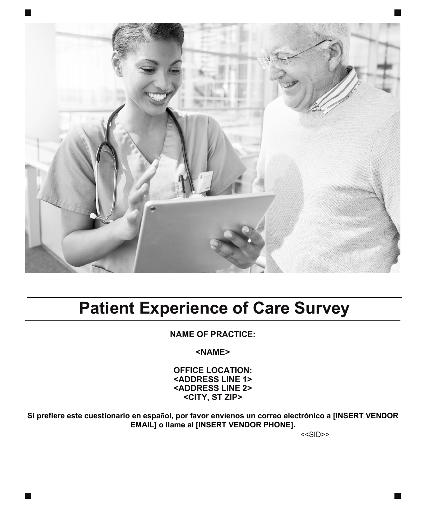

## **Patient Experience of Care Survey**

**NAME OF PRACTICE:** 

**<NAME>**

**OFFICE LOCATION: <ADDRESS LINE 1> <ADDRESS LINE 2> <CITY, ST ZIP>**

**Si prefiere este cuestionario en español, por favor envíenos un correo electrónico a [INSERT VENDOR EMAIL] o llame al [INSERT VENDOR PHONE].**

ш

<<SID>>

M.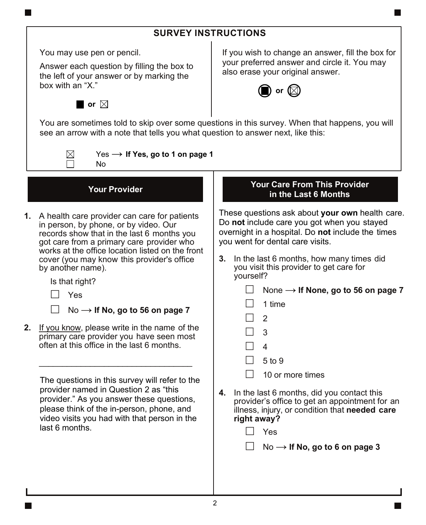## **SURVEY INSTRUCTIONS**

You may use pen or pencil.

**n** or  $\boxtimes$ 

Answer each question by filling the box to the left of your answer or by marking the box with an "X."

If you wish to change an answer, fill the box for your preferred answer and circle it. You may also erase your original answer.



You are sometimes told to skip over some questions in this survey. When that happens, you will see an arrow with a note that tells you what question to answer next, like this:

 $\boxtimes$ 

 $Yes \rightarrow If Yes, go to 1 on page 1$ 

No

**1.** A health care provider can care for patients in person, by phone, or by video. Our records show that in the last 6 months you got care from a primary care provider who works at the office location listed on the front cover (you may know this provider's office by another name).

Is that right?

Yes

 $No \rightarrow$  If No, go to 56 on page 7

**2.** If you know, please write in the name of the primary care provider you have seen most often at this office in the last 6 months.

\_\_\_\_\_\_\_\_\_\_\_\_\_\_\_\_\_\_\_\_\_\_\_\_\_\_\_\_\_\_\_\_\_

The questions in this survey will refer to the provider named in Question 2 as "this provider." As you answer these questions, please think of the in-person, phone, and video visits you had with that person in the last 6 months.

## **Your Provider Your Care From This Provider in the Last 6 Months**

These questions ask about **your own** health care. Do **not** include care you got when you stayed overnight in a hospital. Do **not** include the times you went for dental care visits.

- **3.** In the last 6 months, how many times did you visit this provider to get care for yourself?
	- $\Box$  None  $\rightarrow$  If None, go to 56 on page 7
		- 1 time
	- 2
	- 3
	- 4
	- 5 to 9
	- 10 or more times
- **4.** In the last 6 months, did you contact this provider's office to get an appointment for an illness, injury, or condition that **needed care right away?**
	- Yes

 $\Box$  No  $\rightarrow$  If No, go to 6 on page 3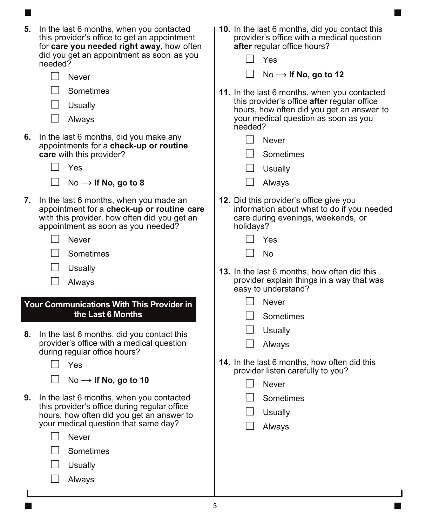| In the last 6 months, when you contacted<br>this provider's office to get an appointment<br>for care you needed right away, how often<br>did you get an appointment as soon as you<br>needed?<br><b>Never</b><br>Sometimes<br>Usually<br>Always   | <b>10.</b> In the last 6 months, did you contact this<br>provider's office with a medical question<br>after regular office hours?<br>Yes<br>No $\rightarrow$ If No, go to 12<br>11. In the last 6 months, when you contacted<br>this provider's office after regular office<br>hours, how often did you get an answer to<br>your medical question as soon as you |
|---------------------------------------------------------------------------------------------------------------------------------------------------------------------------------------------------------------------------------------------------|------------------------------------------------------------------------------------------------------------------------------------------------------------------------------------------------------------------------------------------------------------------------------------------------------------------------------------------------------------------|
| In the last 6 months, did you make any<br>appointments for a check-up or routine<br>care with this provider?<br>Yes<br>No $\rightarrow$ If No, go to 8                                                                                            | needed?<br><b>Never</b><br>Sometimes<br>Usually<br>Always                                                                                                                                                                                                                                                                                                        |
| In the last 6 months, when you made an<br>appointment for a check-up or routine care<br>with this provider, how often did you get an<br>appointment as soon as you needed?<br><b>Never</b><br>Sometimes<br>Usually<br>Always<br>the Last 6 Months | 12. Did this provider's office give you<br>information about what to do if you needed<br>care during evenings, weekends, or<br>holidays?<br>Yes<br><b>No</b><br>13. In the last 6 months, how often did this<br>provider explain things in a way that was<br>easy to understand?<br><b>Never</b><br>Sometimes                                                    |
| In the last 6 months, did you contact this<br>provider's office with a medical question<br>during regular office hours?<br>Yes<br>No $\rightarrow$ If No, go to 10                                                                                | Usually<br>Always<br><b>14.</b> In the last 6 months, how often did this<br>provider listen carefully to you?<br><b>Never</b>                                                                                                                                                                                                                                    |
| In the last 6 months, when you contacted<br>this provider's office during regular office<br>hours, how often did you get an answer to<br>your medical question that same day?<br><b>Never</b><br>Sometimes<br>Usually<br>Always                   | Sometimes<br>Usually<br>Always                                                                                                                                                                                                                                                                                                                                   |
| 5.<br>6.<br>9.                                                                                                                                                                                                                                    | 7.<br>Your Communications With This Provider in                                                                                                                                                                                                                                                                                                                  |

 $\overline{\phantom{a}}$ 

ı  $\Box$ 

 $\blacksquare$ 

 $\blacksquare$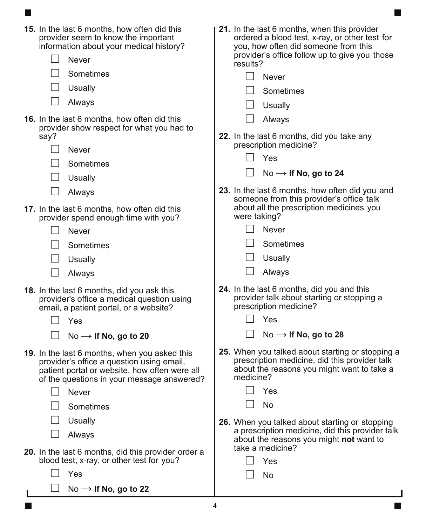| <b>15.</b> In the last 6 months, how often did this<br>provider seem to know the important<br>information about your medical history?<br><b>Never</b><br>Sometimes                               | 21. In the last 6 months, when this provider<br>ordered a blood test, x-ray, or other test for<br>you, how often did someone from this<br>provider's office follow up to give you those<br>results?<br><b>Never</b> |
|--------------------------------------------------------------------------------------------------------------------------------------------------------------------------------------------------|---------------------------------------------------------------------------------------------------------------------------------------------------------------------------------------------------------------------|
| <b>Usually</b>                                                                                                                                                                                   |                                                                                                                                                                                                                     |
|                                                                                                                                                                                                  | Sometimes                                                                                                                                                                                                           |
| Always                                                                                                                                                                                           | Usually                                                                                                                                                                                                             |
| <b>16.</b> In the last 6 months, how often did this<br>provider show respect for what you had to<br>say?                                                                                         | Always<br>22. In the last 6 months, did you take any                                                                                                                                                                |
| <b>Never</b>                                                                                                                                                                                     | prescription medicine?                                                                                                                                                                                              |
| Sometimes                                                                                                                                                                                        | Yes                                                                                                                                                                                                                 |
|                                                                                                                                                                                                  | No $\rightarrow$ If No, go to 24                                                                                                                                                                                    |
| Usually                                                                                                                                                                                          |                                                                                                                                                                                                                     |
| Always                                                                                                                                                                                           | 23. In the last 6 months, how often did you and<br>someone from this provider's office talk                                                                                                                         |
| 17. In the last 6 months, how often did this                                                                                                                                                     | about all the prescription medicines you                                                                                                                                                                            |
| provider spend enough time with you?                                                                                                                                                             | were taking?                                                                                                                                                                                                        |
| <b>Never</b>                                                                                                                                                                                     | <b>Never</b>                                                                                                                                                                                                        |
| Sometimes                                                                                                                                                                                        | Sometimes                                                                                                                                                                                                           |
| Usually                                                                                                                                                                                          | Usually                                                                                                                                                                                                             |
| Always                                                                                                                                                                                           | Always                                                                                                                                                                                                              |
| <b>18.</b> In the last 6 months, did you ask this<br>provider's office a medical question using<br>email, a patient portal, or a website?                                                        | 24. In the last 6 months, did you and this<br>provider talk about starting or stopping a<br>prescription medicine?<br>Yes                                                                                           |
| Yes                                                                                                                                                                                              |                                                                                                                                                                                                                     |
| No $\rightarrow$ If No, go to 20                                                                                                                                                                 | No $\rightarrow$ If No, go to 28                                                                                                                                                                                    |
| <b>19.</b> In the last 6 months, when you asked this<br>provider's office a question using email,<br>patient portal or website, how often were all<br>of the questions in your message answered? | 25. When you talked about starting or stopping a<br>prescription medicine, did this provider talk<br>about the reasons you might want to take a<br>medicine?                                                        |
| <b>Never</b>                                                                                                                                                                                     | Yes                                                                                                                                                                                                                 |
| Sometimes                                                                                                                                                                                        | No                                                                                                                                                                                                                  |
| Usually                                                                                                                                                                                          | 26. When you talked about starting or stopping                                                                                                                                                                      |
| Always                                                                                                                                                                                           | a prescription medicine, did this provider talk<br>about the reasons you might not want to                                                                                                                          |
| 20. In the last 6 months, did this provider order a                                                                                                                                              | take a medicine?                                                                                                                                                                                                    |
| blood test, x-ray, or other test for you?                                                                                                                                                        | Yes                                                                                                                                                                                                                 |
| Yes                                                                                                                                                                                              | No                                                                                                                                                                                                                  |
| No $\rightarrow$ If No, go to 22                                                                                                                                                                 |                                                                                                                                                                                                                     |

m.

 $\blacksquare$ 

 $\blacksquare$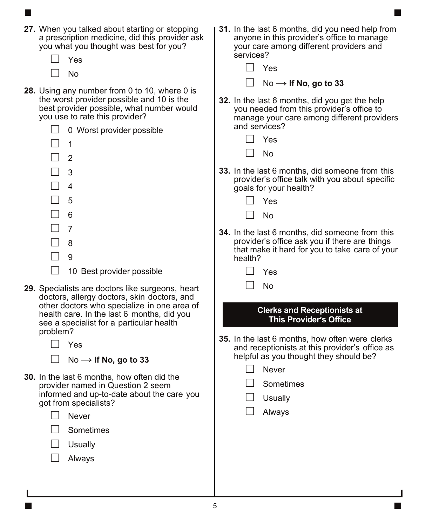**27.** When you talked about starting or stopping a prescription medicine, did this provider ask you what you thought was best for you? Yes | | No **28.** Using any number from 0 to 10, where 0 is the worst provider possible and 10 is the best provider possible, what number would you use to rate this provider?  $\Box$  0 Worst provider possible  $\Box$  1  $\Box$  2  $\Box$  3 4 5 6 7 8 9  $\Box$  10 Best provider possible **29.** Specialists are doctors like surgeons, heart doctors, allergy doctors, skin doctors, and other doctors who specialize in one area of health care. In the last 6 months, did you see a specialist for a particular health problem? Yes  $\Box$  No  $\rightarrow$  **If No, go to 33 30.** In the last 6 months, how often did the provider named in Question 2 seem informed and up-to-date about the care you got from specialists? Never Sometimes Usually Always **31.** In the last 6 months, did you need help from anyone in this provider's office to manage your care among different providers and services? l I Yes  $No \rightarrow$  **If No, go to 33 32.** In the last 6 months, did you get the help you needed from this provider's office to manage your care among different providers and services? Yes No **33.** In the last 6 months, did someone from this provider's office talk with you about specific goals for your health? Yes No **34.** In the last 6 months, did someone from this provider's office ask you if there are things that make it hard for you to take care of your health? Yes No **35.** In the last 6 months, how often were clerks and receptionists at this provider's office as helpful as you thought they should be? Never Sometimes Usually Always **Clerks and Receptionists at This Provider's Office**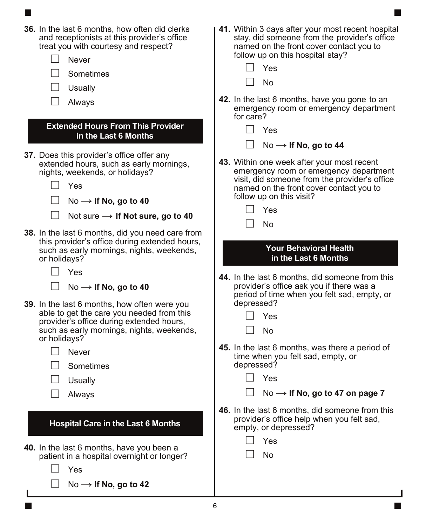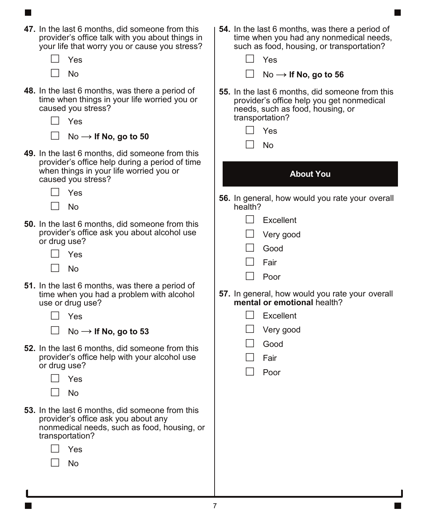**47.** In the last 6 months, did someone from this provider's office talk with you about things in your life that worry you or cause you stress? Yes l I No **48.** In the last 6 months, was there a period of time when things in your life worried you or caused you stress? Yes  $\Box$  No  $\rightarrow$  If No, go to 50 **49.** In the last 6 months, did someone from this provider's office help during a period of time when things in your life worried you or caused you stress? Yes No **50.** In the last 6 months, did someone from this provider's office ask you about alcohol use or drug use? Yes No **51.** In the last 6 months, was there a period of time when you had a problem with alcohol use or drug use? Yes  $\Box$  No  $\rightarrow$  If No, go to 53 **52.** In the last 6 months, did someone from this provider's office help with your alcohol use or drug use? Yes No **53.** In the last 6 months, did someone from this provider's office ask you about any nonmedical needs, such as food, housing, or transportation? Yes No **54.** In the last 6 months, was there a period of time when you had any nonmedical needs, such as food, housing, or transportation? Yes  $No \rightarrow$  If No, go to 56 **55.** In the last 6 months, did someone from this provider's office help you get nonmedical needs, such as food, housing, or transportation? Yes No **56.** In general, how would you rate your overall health? Excellent Very good Good Fair Poor **57.** In general, how would you rate your overall **mental or emotional** health?  $\Box$  Excellent Very good Good Fair Poor **About You**